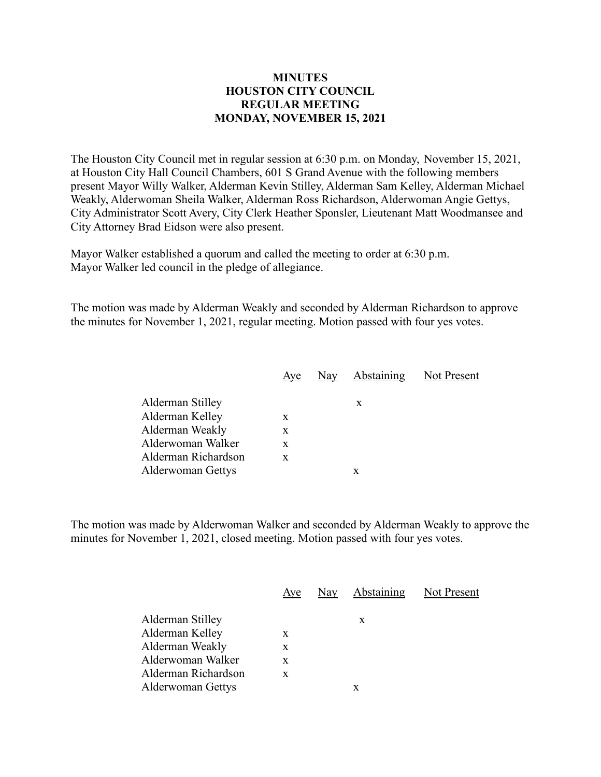## **MINUTES HOUSTON CITY COUNCIL REGULAR MEETING MONDAY, NOVEMBER 15, 2021**

The Houston City Council met in regular session at 6:30 p.m. on Monday, November 15, 2021, at Houston City Hall Council Chambers, 601 S Grand Avenue with the following members present Mayor Willy Walker, Alderman Kevin Stilley, Alderman Sam Kelley, Alderman Michael Weakly, Alderwoman Sheila Walker, Alderman Ross Richardson, Alderwoman Angie Gettys, City Administrator Scott Avery, City Clerk Heather Sponsler, Lieutenant Matt Woodmansee and City Attorney Brad Eidson were also present.

Mayor Walker established a quorum and called the meeting to order at 6:30 p.m. Mayor Walker led council in the pledge of allegiance.

The motion was made by Alderman Weakly and seconded by Alderman Richardson to approve the minutes for November 1, 2021, regular meeting. Motion passed with four yes votes.

| Nay Abstaining<br>Aye         | Not Present |
|-------------------------------|-------------|
| Alderman Stilley<br>X         |             |
| Alderman Kelley<br>X          |             |
| Alderman Weakly<br>X          |             |
| Alderwoman Walker<br>X        |             |
| Alderman Richardson<br>X      |             |
| <b>Alderwoman Gettys</b><br>x |             |

The motion was made by Alderwoman Walker and seconded by Alderman Weakly to approve the minutes for November 1, 2021, closed meeting. Motion passed with four yes votes.

|                     | Aye | Nay Abstaining Not Present |  |
|---------------------|-----|----------------------------|--|
| Alderman Stilley    |     | X                          |  |
| Alderman Kelley     | X   |                            |  |
| Alderman Weakly     | X   |                            |  |
| Alderwoman Walker   | X   |                            |  |
| Alderman Richardson | X   |                            |  |
| Alderwoman Gettys   |     | x                          |  |
|                     |     |                            |  |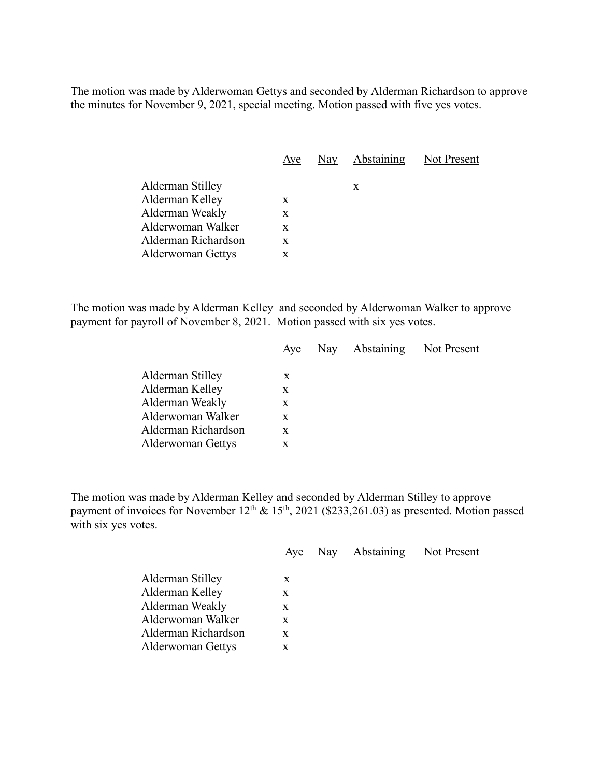The motion was made by Alderwoman Gettys and seconded by Alderman Richardson to approve the minutes for November 9, 2021, special meeting. Motion passed with five yes votes.

|                          | Aye | Nay Abstaining Not Present |  |
|--------------------------|-----|----------------------------|--|
| Alderman Stilley         |     | X                          |  |
| Alderman Kelley          | X   |                            |  |
| Alderman Weakly          | X   |                            |  |
| Alderwoman Walker        | X   |                            |  |
| Alderman Richardson      | X   |                            |  |
| <b>Alderwoman Gettys</b> | X   |                            |  |

The motion was made by Alderman Kelley and seconded by Alderwoman Walker to approve payment for payroll of November 8, 2021. Motion passed with six yes votes.

|                          | Aye | Nay | <b>Abstaining</b> | Not Present |
|--------------------------|-----|-----|-------------------|-------------|
| Alderman Stilley         | X   |     |                   |             |
| Alderman Kelley          | X   |     |                   |             |
| Alderman Weakly          | X   |     |                   |             |
| Alderwoman Walker        | X   |     |                   |             |
| Alderman Richardson      | X   |     |                   |             |
| <b>Alderwoman Gettys</b> | X   |     |                   |             |
|                          |     |     |                   |             |

The motion was made by Alderman Kelley and seconded by Alderman Stilley to approve payment of invoices for November  $12^{th} \& 15^{th}$ , 2021 (\$233,261.03) as presented. Motion passed with six yes votes.

|                                                                                                    | Aye                   | Nay | Abstaining | Not Present |
|----------------------------------------------------------------------------------------------------|-----------------------|-----|------------|-------------|
| Alderman Stilley<br>Alderman Kelley<br>Alderman Weakly<br>Alderwoman Walker<br>Alderman Richardson | X<br>X<br>X<br>X<br>X |     |            |             |
| <b>Alderwoman Gettys</b>                                                                           | X                     |     |            |             |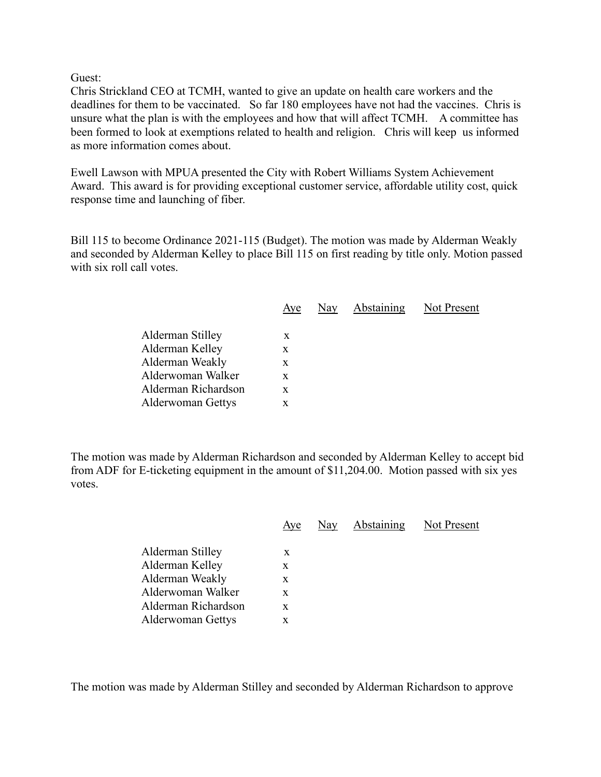Guest:

Chris Strickland CEO at TCMH, wanted to give an update on health care workers and the deadlines for them to be vaccinated. So far 180 employees have not had the vaccines. Chris is unsure what the plan is with the employees and how that will affect TCMH. A committee has been formed to look at exemptions related to health and religion. Chris will keep us informed as more information comes about.

Ewell Lawson with MPUA presented the City with Robert Williams System Achievement Award. This award is for providing exceptional customer service, affordable utility cost, quick response time and launching of fiber.

Bill 115 to become Ordinance 2021-115 (Budget). The motion was made by Alderman Weakly and seconded by Alderman Kelley to place Bill 115 on first reading by title only. Motion passed with six roll call votes.

|                          | Aye |  | Nay Abstaining Not Present |
|--------------------------|-----|--|----------------------------|
| Alderman Stilley         | X   |  |                            |
| Alderman Kelley          | X   |  |                            |
| Alderman Weakly          | X   |  |                            |
| Alderwoman Walker        | X   |  |                            |
| Alderman Richardson      | X   |  |                            |
| <b>Alderwoman Gettys</b> | X   |  |                            |
|                          |     |  |                            |

The motion was made by Alderman Richardson and seconded by Alderman Kelley to accept bid from ADF for E-ticketing equipment in the amount of \$11,204.00. Motion passed with six yes votes.

|                          | Aye | Nay | Abstaining | Not Present |
|--------------------------|-----|-----|------------|-------------|
| Alderman Stilley         | X   |     |            |             |
| Alderman Kelley          | X   |     |            |             |
| Alderman Weakly          | X   |     |            |             |
| Alderwoman Walker        | X   |     |            |             |
| Alderman Richardson      | X   |     |            |             |
| <b>Alderwoman Gettys</b> | X   |     |            |             |
|                          |     |     |            |             |

The motion was made by Alderman Stilley and seconded by Alderman Richardson to approve